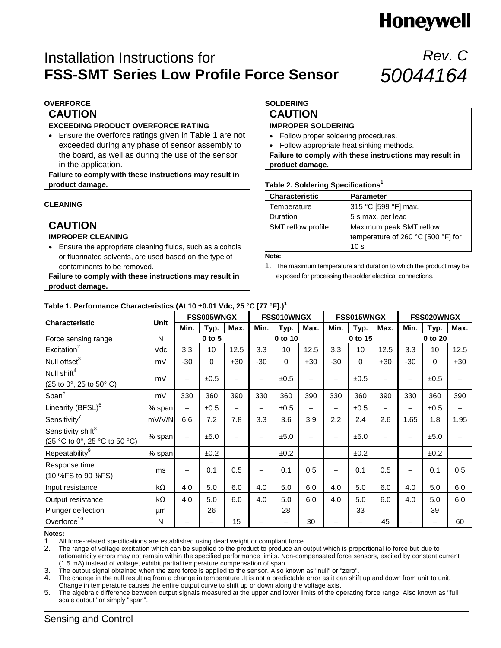# **Honeywell**

### Installation Instructions for **FSS-SMT Series Low Profile Force Sensor**

## *Rev. C 50044164*

#### **OVERFORCE**

#### **CAUTION**

#### **EXCEEDING PRODUCT OVERFORCE RATING**

 Ensure the overforce ratings given in Table 1 are not exceeded during any phase of sensor assembly to the board, as well as during the use of the sensor in the application.

**Failure to comply with these instructions may result in product damage.**

#### **CLEANING**

### **CAUTION**

#### **IMPROPER CLEANING**

 Ensure the appropriate cleaning fluids, such as alcohols or fluorinated solvents, are used based on the type of contaminants to be removed.

**Failure to comply with these instructions may result in product damage.**

### **SOLDERING**

### **CAUTION**

#### **IMPROPER SOLDERING**

- Follow proper soldering procedures.
- Follow appropriate heat sinking methods.

**Failure to comply with these instructions may result in product damage.**

#### **Table 2. Soldering Specifications<sup>1</sup>**

| <b>Characteristic</b>     | <b>Parameter</b>                                              |
|---------------------------|---------------------------------------------------------------|
| Temperature               | 315 °C [599 °F] max.                                          |
| Duration                  | 5 s max. per lead                                             |
| <b>SMT</b> reflow profile | Maximum peak SMT reflow<br>temperature of 260 °C [500 °F] for |
|                           | 10 s                                                          |

**Note:**

#### **Table 1. Performance Characteristics (At 10 ±0.01 Vdc, 25 °C [77 °F].) 1**

| <b>Characteristic</b>                                           | <b>Unit</b> | <b>FSS005WNGX</b>        |             | <b>FSS010WNGX</b>        |                                  |                   | <b>FSS015WNGX</b>        |                          |         | FSS020WNGX               |                          |             |                          |
|-----------------------------------------------------------------|-------------|--------------------------|-------------|--------------------------|----------------------------------|-------------------|--------------------------|--------------------------|---------|--------------------------|--------------------------|-------------|--------------------------|
|                                                                 |             | Min.                     | Typ.        | Max.                     | Min.                             | Typ.              | Max.                     | Min.                     | Typ.    | Max.                     | Min.                     | <b>Typ.</b> | Max.                     |
| Force sensing range                                             | N           |                          | 0 to 5      |                          | 0 to 10                          |                   | 0 to 15                  |                          | 0 to 20 |                          |                          |             |                          |
| Excitation <sup>2</sup>                                         | Vdc         | 3.3                      | 10          | 12.5                     | 3.3                              | 10                | 12.5                     | 3.3                      | 10      | 12.5                     | 3.3                      | 10          | 12.5                     |
| Null offset <sup>3</sup>                                        | mV          | $-30$                    | $\mathbf 0$ | $+30$                    | $-30$                            | 0                 | $+30$                    | $-30$                    | 0       | $+30$                    | $-30$                    | 0           | $+30$                    |
| Null shift <sup>4</sup>                                         |             |                          |             |                          |                                  |                   |                          |                          |         |                          |                          |             |                          |
| (25 to 0°, 25 to 50° C)                                         | mV          | $\overline{\phantom{m}}$ | ±0.5        | $\overline{\phantom{0}}$ | $\qquad \qquad -$                | ±0.5              | $\overline{\phantom{0}}$ | $\overline{\phantom{0}}$ | ±0.5    | $\overline{\phantom{0}}$ | $\qquad \qquad -$        | ±0.5        |                          |
| Span <sup>5</sup>                                               | mV          | 330                      | 360         | 390                      | 330                              | 360               | 390                      | 330                      | 360     | 390                      | 330                      | 360         | 390                      |
| Linearity (BFSL) <sup>6</sup>                                   | % span      | $\overline{\phantom{0}}$ | ±0.5        |                          | $\qquad \qquad -$                | ±0.5              | $\overline{\phantom{0}}$ | $\overline{\phantom{m}}$ | ±0.5    | $\overline{\phantom{0}}$ | $\overline{\phantom{0}}$ | ±0.5        | $\overline{\phantom{0}}$ |
| Sensitivity <sup>7</sup>                                        | mV/V/N      | 6.6                      | 7.2         | 7.8                      | 3.3                              | 3.6               | 3.9                      | 2.2                      | 2.4     | 2.6                      | 1.65                     | 1.8         | 1.95                     |
| Sensitivity shift <sup>8</sup><br>(25 °C to 0°, 25 °C to 50 °C) | % span      | $\qquad \qquad$          | ±5.0        | $\overline{\phantom{0}}$ | $\qquad \qquad -$                | ±5.0              | $\overline{\phantom{0}}$ | $\overline{\phantom{0}}$ | ±5.0    | $\overline{\phantom{0}}$ | $\overline{\phantom{0}}$ | ±5.0        |                          |
| Repeatability <sup>9</sup>                                      | % span      | $\qquad \qquad$          | ±0.2        |                          | $\qquad \qquad -$                | ±0.2              | $\overline{\phantom{0}}$ | $\overline{\phantom{m}}$ | ±0.2    | $\overline{\phantom{0}}$ | $\overline{\phantom{0}}$ | ±0.2        |                          |
| Response time<br>(10 %FS to 90 %FS)                             | ms          | $\qquad \qquad -$        | 0.1         | 0.5                      | $\overbrace{\phantom{12322111}}$ | 0.1               | 0.5                      | $\overline{\phantom{m}}$ | 0.1     | 0.5                      | $\overline{\phantom{0}}$ | 0.1         | 0.5                      |
| Input resistance                                                | kΩ          | 4.0                      | 5.0         | 6.0                      | 4.0                              | 5.0               | 6.0                      | 4.0                      | 5.0     | 6.0                      | 4.0                      | 5.0         | 6.0                      |
| Output resistance                                               | kΩ          | 4.0                      | 5.0         | 6.0                      | 4.0                              | 5.0               | 6.0                      | 4.0                      | 5.0     | 6.0                      | 4.0                      | 5.0         | 6.0                      |
| Plunger deflection                                              | μm          |                          | 26          |                          |                                  | 28                | $\overline{\phantom{0}}$ |                          | 33      |                          |                          | 39          |                          |
| Overforce <sup>10</sup>                                         | N           |                          |             | 15                       |                                  | $\qquad \qquad -$ | 30                       |                          |         | 45                       |                          | —           | 60                       |

#### **Notes:**

1. All force-related specifications are established using dead weight or compliant force.

2. The range of voltage excitation which can be supplied to the product to produce an output which is proportional to force but due to ratiometricity errors may not remain within the specified performance limits. Non-compensated force sensors, excited by constant current (1.5 mA) instead of voltage, exhibit partial temperature compensation of span.

3. The output signal obtained when the zero force is applied to the sensor. Also known as "null" or "zero".

4. The change in the null resulting from a change in temperature .It is not a predictable error as it can shift up and down from unit to unit.

Change in temperature causes the entire output curve to shift up or down along the voltage axis. 5. The algebraic difference between output signals measured at the upper and lower limits of the operating force range. Also known as "full

scale output" or simply "span".

<sup>1.</sup> The maximum temperature and duration to which the product may be exposed for processing the solder electrical connections.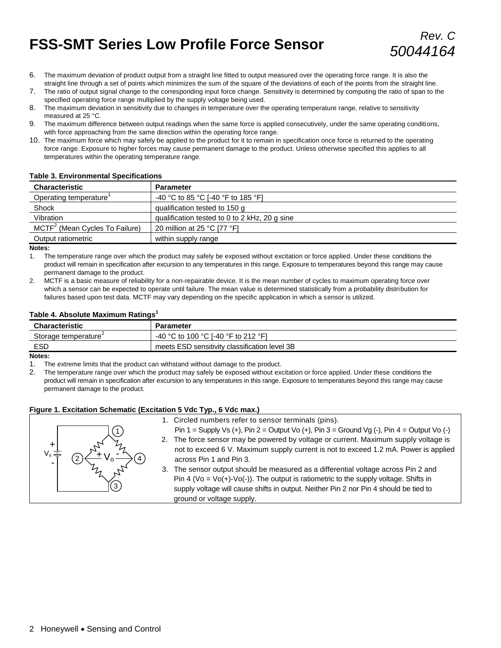# **FSS-SMT Series Low Profile Force Sensor** *Rev. C*

- 6. The maximum deviation of product output from a straight line fitted to output measured over the operating force range. It is also the straight line through a set of points which minimizes the sum of the square of the deviations of each of the points from the straight line.
- 7. The ratio of output signal change to the corresponding input force change. Sensitivity is determined by computing the ratio of span to the specified operating force range multiplied by the supply voltage being used.
- 8. The maximum deviation in sensitivity due to changes in temperature over the operating temperature range, relative to sensitivity measured at 25 °C.
- 9. The maximum difference between output readings when the same force is applied consecutively, under the same operating conditions, with force approaching from the same direction within the operating force range.
- 10. The maximum force which may safely be applied to the product for it to remain in specification once force is returned to the operating force range. Exposure to higher forces may cause permanent damage to the product. Unless otherwise specified this applies to all temperatures within the operating temperature range.

#### **Table 3. Environmental Specifications**

| Characteristic                             | <b>Parameter</b>                              |
|--------------------------------------------|-----------------------------------------------|
| Operating temperature                      | -40 °C to 85 °C [-40 °F to 185 °F]            |
| Shock                                      | qualification tested to 150 g                 |
| Vibration                                  | qualification tested to 0 to 2 kHz, 20 g sine |
| MCTF <sup>2</sup> (Mean Cycles To Failure) | 20 million at 25 °C [77 °F]                   |
| Output ratiometric                         | within supply range                           |

#### **Notes:**

1. The temperature range over which the product may safely be exposed without excitation or force applied. Under these conditions the product will remain in specification after excursion to any temperatures in this range. Exposure to temperatures beyond this range may cause permanent damage to the product.

2. MCTF is a basic measure of reliability for a non-repairable device. It is the mean number of cycles to maximum operating force over which a sensor can be expected to operate until failure. The mean value is determined statistically from a probability distribution for failures based upon test data. MCTF may vary depending on the specific application in which a sensor is utilized.

#### **Table 4. Absolute Maximum Ratings<sup>1</sup>**

| <b>Characteristic</b>            | Parameter                                     |
|----------------------------------|-----------------------------------------------|
| Storage temperature <sup>4</sup> | -40 °C to 100 °C I-40 °F to 212 °F1           |
| ESD                              | meets ESD sensitivity classification level 3B |

#### **Notes:**

1. The extreme limits that the product can withstand without damage to the product.

2. The temperature range over which the product may safely be exposed without excitation or force applied. Under these conditions the product will remain in specification after excursion to any temperatures in this range. Exposure to temperatures beyond this range may cause permanent damage to the product.

#### **Figure 1. Excitation Schematic (Excitation 5 Vdc Typ., 6 Vdc max.)**



- -
- 1. Circled numbers refer to sensor terminals (pins).<br>
Pin 1 = Supply Vs (+), Pin 2 = Output Vo (+), Pin 3 = 0<br>
2. The force sensor may be powered by voltage or current is not<br>
to exceed 6 V. Maximum supply current is not<br> Pin 1 = Supply Vs (+), Pin 2 = Output Vo (+), Pin 3 = Ground Vg (-), Pin 4 = Output Vo (-) 2. The force sensor may be powered by voltage or current. Maximum supply voltage is not to exceed 6 V. Maximum supply current is not to exceed 1.2 mA. Power is applied across Pin 1 and Pin 3.
	- 3. The sensor output should be measured as a differential voltage across Pin 2 and Pin 4 (Vo =  $Vo(+)-Vo(-)$ ). The output is ratiometric to the supply voltage. Shifts in supply voltage will cause shifts in output. Neither Pin 2 nor Pin 4 should be tied to ground or voltage supply.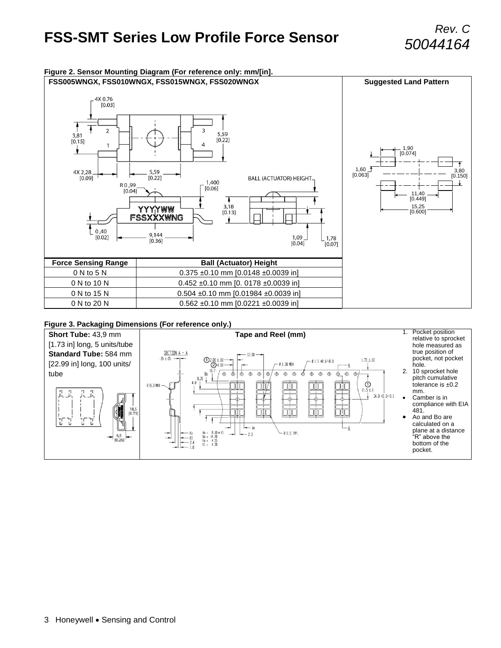# **FSS-SMT Series Low Profile Force Sensor** *Rev. C*



#### **Figure 3. Packaging Dimensions (For reference only.)**